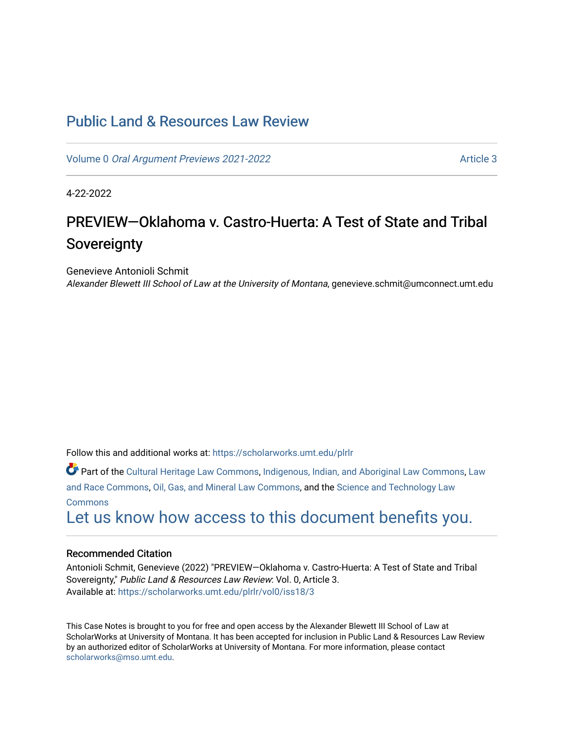## [Public Land & Resources Law Review](https://scholarworks.umt.edu/plrlr)

Volume 0 [Oral Argument Previews 2021-2022](https://scholarworks.umt.edu/plrlr/vol0) Article 3

4-22-2022

# PREVIEW-Oklahoma v. Castro-Huerta: A Test of State and Tribal **Sovereignty**

Genevieve Antonioli Schmit

Alexander Blewett III School of Law at the University of Montana, genevieve.schmit@umconnect.umt.edu

Follow this and additional works at: [https://scholarworks.umt.edu/plrlr](https://scholarworks.umt.edu/plrlr?utm_source=scholarworks.umt.edu%2Fplrlr%2Fvol0%2Fiss18%2F3&utm_medium=PDF&utm_campaign=PDFCoverPages) 

Part of the [Cultural Heritage Law Commons](http://network.bepress.com/hgg/discipline/1384?utm_source=scholarworks.umt.edu%2Fplrlr%2Fvol0%2Fiss18%2F3&utm_medium=PDF&utm_campaign=PDFCoverPages), [Indigenous, Indian, and Aboriginal Law Commons](http://network.bepress.com/hgg/discipline/894?utm_source=scholarworks.umt.edu%2Fplrlr%2Fvol0%2Fiss18%2F3&utm_medium=PDF&utm_campaign=PDFCoverPages), [Law](http://network.bepress.com/hgg/discipline/1300?utm_source=scholarworks.umt.edu%2Fplrlr%2Fvol0%2Fiss18%2F3&utm_medium=PDF&utm_campaign=PDFCoverPages) [and Race Commons,](http://network.bepress.com/hgg/discipline/1300?utm_source=scholarworks.umt.edu%2Fplrlr%2Fvol0%2Fiss18%2F3&utm_medium=PDF&utm_campaign=PDFCoverPages) [Oil, Gas, and Mineral Law Commons,](http://network.bepress.com/hgg/discipline/864?utm_source=scholarworks.umt.edu%2Fplrlr%2Fvol0%2Fiss18%2F3&utm_medium=PDF&utm_campaign=PDFCoverPages) and the [Science and Technology Law](http://network.bepress.com/hgg/discipline/875?utm_source=scholarworks.umt.edu%2Fplrlr%2Fvol0%2Fiss18%2F3&utm_medium=PDF&utm_campaign=PDFCoverPages) **[Commons](http://network.bepress.com/hgg/discipline/875?utm_source=scholarworks.umt.edu%2Fplrlr%2Fvol0%2Fiss18%2F3&utm_medium=PDF&utm_campaign=PDFCoverPages)** 

[Let us know how access to this document benefits you.](https://goo.gl/forms/s2rGfXOLzz71qgsB2) 

## Recommended Citation

Antonioli Schmit, Genevieve (2022) "PREVIEW—Oklahoma v. Castro-Huerta: A Test of State and Tribal Sovereignty," Public Land & Resources Law Review: Vol. 0, Article 3. Available at: [https://scholarworks.umt.edu/plrlr/vol0/iss18/3](https://scholarworks.umt.edu/plrlr/vol0/iss18/3?utm_source=scholarworks.umt.edu%2Fplrlr%2Fvol0%2Fiss18%2F3&utm_medium=PDF&utm_campaign=PDFCoverPages)

This Case Notes is brought to you for free and open access by the Alexander Blewett III School of Law at ScholarWorks at University of Montana. It has been accepted for inclusion in Public Land & Resources Law Review by an authorized editor of ScholarWorks at University of Montana. For more information, please contact [scholarworks@mso.umt.edu.](mailto:scholarworks@mso.umt.edu)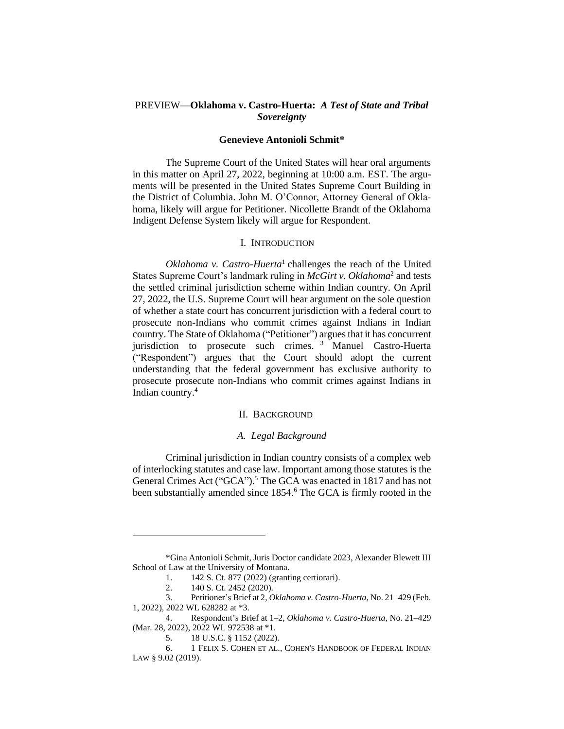## PREVIEW—**Oklahoma v. Castro-Huerta:** *A Test of State and Tribal Sovereignty*

#### **Genevieve Antonioli Schmit\***

The Supreme Court of the United States will hear oral arguments in this matter on April 27, 2022, beginning at 10:00 a.m. EST. The arguments will be presented in the United States Supreme Court Building in the District of Columbia. John M. O'Connor, Attorney General of Oklahoma, likely will argue for Petitioner. Nicollette Brandt of the Oklahoma Indigent Defense System likely will argue for Respondent.

## I. INTRODUCTION

Oklahoma v. Castro-Huerta<sup>1</sup> challenges the reach of the United States Supreme Court's landmark ruling in *McGirt v. Oklahoma*<sup>2</sup> and tests the settled criminal jurisdiction scheme within Indian country*.* On April 27, 2022, the U.S. Supreme Court will hear argument on the sole question of whether a state court has concurrent jurisdiction with a federal court to prosecute non-Indians who commit crimes against Indians in Indian country. The State of Oklahoma ("Petitioner") argues that it has concurrent jurisdiction to prosecute such crimes. <sup>3</sup> Manuel Castro-Huerta ("Respondent") argues that the Court should adopt the current understanding that the federal government has exclusive authority to prosecute prosecute non-Indians who commit crimes against Indians in Indian country. 4

## II. BACKGROUND

## *A. Legal Background*

Criminal jurisdiction in Indian country consists of a complex web of interlocking statutes and case law. Important among those statutes is the General Crimes Act ("GCA").<sup>5</sup> The GCA was enacted in 1817 and has not been substantially amended since 1854. <sup>6</sup> The GCA is firmly rooted in the

<sup>\*</sup>Gina Antonioli Schmit, Juris Doctor candidate 2023, Alexander Blewett III School of Law at the University of Montana.

<sup>1. 142</sup> S. Ct. 877 (2022) (granting certiorari).

<sup>2.</sup> 140 S. Ct. 2452 (2020).

<sup>3.</sup> Petitioner's Brief at 2, *Oklahoma v. Castro-Huerta*, No. 21–429 (Feb. 1, 2022), 2022 WL 628282 at \*3.

<sup>4.</sup> Respondent's Brief at 1–2, *Oklahoma v. Castro-Huerta*, No. 21–429 (Mar. 28, 2022), 2022 WL 972538 at \*1.

<sup>5.</sup> 18 U.S.C. § 1152 (2022).

<sup>6.</sup> 1 FELIX S. COHEN ET AL., COHEN'S HANDBOOK OF FEDERAL INDIAN LAW § 9.02 (2019).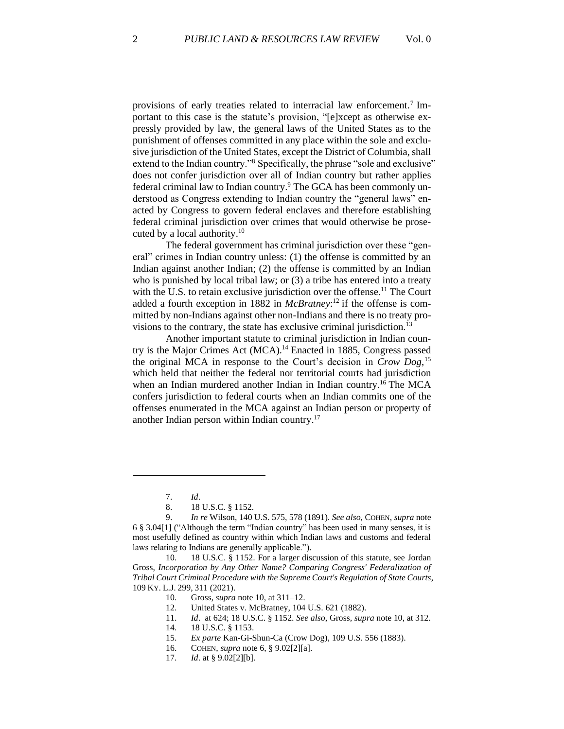provisions of early treaties related to interracial law enforcement.<sup>7</sup> Important to this case is the statute's provision, "[e]xcept as otherwise expressly provided by law, the general laws of the United States as to the punishment of offenses committed in any place within the sole and exclusive jurisdiction of the United States, except the District of Columbia, shall extend to the Indian country."<sup>8</sup> Specifically, the phrase "sole and exclusive" does not confer jurisdiction over all of Indian country but rather applies federal criminal law to Indian country.<sup>9</sup> The GCA has been commonly understood as Congress extending to Indian country the "general laws" enacted by Congress to govern federal enclaves and therefore establishing federal criminal jurisdiction over crimes that would otherwise be prosecuted by a local authority.<sup>10</sup>

The federal government has criminal jurisdiction over these "general" crimes in Indian country unless: (1) the offense is committed by an Indian against another Indian; (2) the offense is committed by an Indian who is punished by local tribal law; or (3) a tribe has entered into a treaty with the U.S. to retain exclusive jurisdiction over the offense.<sup>11</sup> The Court added a fourth exception in 1882 in *McBratney*: <sup>12</sup> if the offense is committed by non-Indians against other non-Indians and there is no treaty provisions to the contrary, the state has exclusive criminal jurisdiction.<sup>13</sup>

Another important statute to criminal jurisdiction in Indian country is the Major Crimes Act (MCA). <sup>14</sup> Enacted in 1885, Congress passed the original MCA in response to the Court's decision in *Crow Dog*, 15 which held that neither the federal nor territorial courts had jurisdiction when an Indian murdered another Indian in Indian country.<sup>16</sup> The MCA confers jurisdiction to federal courts when an Indian commits one of the offenses enumerated in the MCA against an Indian person or property of another Indian person within Indian country. 17

<sup>7.</sup> *Id*.

<sup>8.</sup> 18 U.S.C. § 1152.

<sup>9.</sup> *In re* Wilson, 140 U.S. 575, 578 (1891). *See also*, COHEN, *supra* note 6 § 3.04[1] ("Although the term "Indian country" has been used in many senses, it is most usefully defined as country within which Indian laws and customs and federal laws relating to Indians are generally applicable.").

<sup>10.</sup> 18 U.S.C. § 1152. For a larger discussion of this statute, see Jordan Gross, *Incorporation by Any Other Name? Comparing Congress' Federalization of Tribal Court Criminal Procedure with the Supreme Court's Regulation of State Courts*, 109 KY. L.J. 299, 311 (2021).

<sup>10.</sup> Gross, *supra* note 10, at 311–12.

<sup>12.</sup> United States v. McBratney, 104 U.S. 621 (1882).

<sup>11.</sup> *Id*. at 624; 18 U.S.C. § 1152. *See also*, Gross*, supra* note 10, at 312. 14. 18 U.S.C. § 1153.

<sup>15.</sup> *Ex parte* Kan-Gi-Shun-Ca (Crow Dog), 109 U.S. 556 (1883).

<sup>16.</sup> COHEN, *supra* note 6, § 9.02[2][a].

<sup>17.</sup> *Id*. at § 9.02[2][b].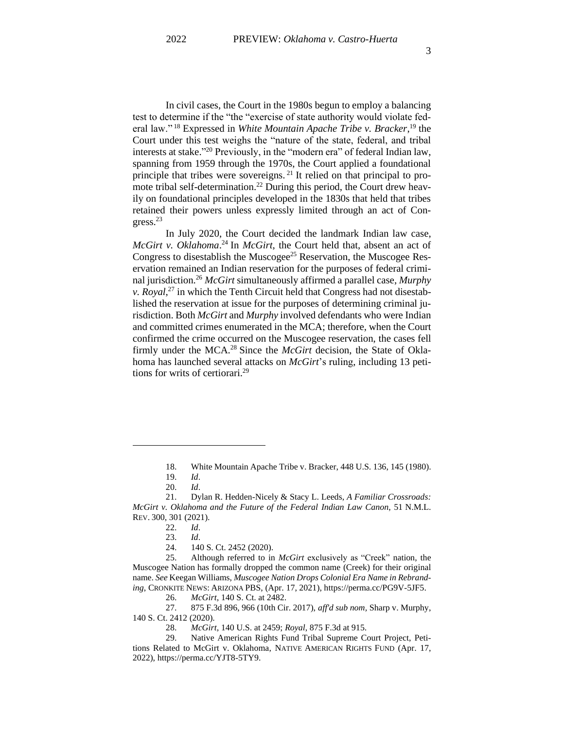In civil cases, the Court in the 1980s begun to employ a balancing test to determine if the "the "exercise of state authority would violate federal law." <sup>18</sup> Expressed in *White Mountain Apache Tribe v. Bracker*, <sup>19</sup> the Court under this test weighs the "nature of the state, federal, and tribal interests at stake." <sup>20</sup> Previously, in the "modern era" of federal Indian law, spanning from 1959 through the 1970s, the Court applied a foundational principle that tribes were sovereigns.<sup>21</sup> It relied on that principal to promote tribal self-determination.<sup>22</sup> During this period, the Court drew heavily on foundational principles developed in the 1830s that held that tribes retained their powers unless expressly limited through an act of Congress.<sup>23</sup>

In July 2020, the Court decided the landmark Indian law case, *McGirt v. Oklahoma*. <sup>24</sup> In *McGirt*, the Court held that, absent an act of Congress to disestablish the Muscogee<sup>25</sup> Reservation, the Muscogee Reservation remained an Indian reservation for the purposes of federal criminal jurisdiction.<sup>26</sup> *McGirt* simultaneously affirmed a parallel case, *Murphy v. Royal*, <sup>27</sup> in which the Tenth Circuit held that Congress had not disestablished the reservation at issue for the purposes of determining criminal jurisdiction. Both *McGirt* and *Murphy* involved defendants who were Indian and committed crimes enumerated in the MCA; therefore, when the Court confirmed the crime occurred on the Muscogee reservation, the cases fell firmly under the MCA. <sup>28</sup> Since the *McGirt* decision, the State of Oklahoma has launched several attacks on *McGirt*'s ruling, including 13 petitions for writs of certiorari. 29

<sup>18.</sup> White Mountain Apache Tribe v. Bracker, 448 U.S. 136, 145 (1980).

<sup>19.</sup> *Id*.

<sup>20.</sup> *Id*.

<sup>21.</sup> Dylan R. Hedden-Nicely & Stacy L. Leeds, *A Familiar Crossroads: McGirt v. Oklahoma and the Future of the Federal Indian Law Canon*, 51 N.M.L. REV. 300, 301 (2021).

<sup>22.</sup> *Id*.

<sup>23.</sup> *Id*.

<sup>24.</sup> 140 S. Ct. 2452 (2020).

<sup>25.</sup> Although referred to in *McGirt* exclusively as "Creek" nation, the Muscogee Nation has formally dropped the common name (Creek) for their original name. *See* Keegan Williams, *Muscogee Nation Drops Colonial Era Name in Rebranding*, CRONKITE NEWS: ARIZONA PBS, (Apr. 17, 2021), https://perma.cc/PG9V-5JF5.

<sup>26.</sup> *McGirt*, 140 S. Ct. at 2482.

<sup>27.</sup> 875 F.3d 896, 966 (10th Cir. 2017), *aff'd sub nom,* Sharp v. Murphy, 140 S. Ct. 2412 (2020).

<sup>28.</sup> *McGirt*, 140 U.S. at 2459; *Royal*, 875 F.3d at 915.

<sup>29.</sup> Native American Rights Fund Tribal Supreme Court Project, Petitions Related to McGirt v. Oklahoma, NATIVE AMERICAN RIGHTS FUND (Apr. 17, 2022), https://perma.cc/YJT8-5TY9.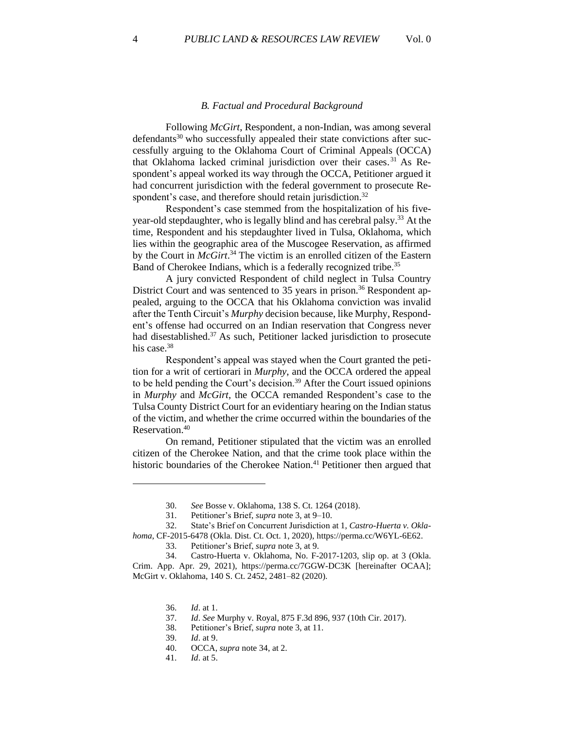#### *B. Factual and Procedural Background*

Following *McGirt*, Respondent, a non-Indian, was among several  $d$ efendants<sup>30</sup> who successfully appealed their state convictions after successfully arguing to the Oklahoma Court of Criminal Appeals (OCCA) that Oklahoma lacked criminal jurisdiction over their cases. <sup>31</sup> As Respondent's appeal worked its way through the OCCA, Petitioner argued it had concurrent jurisdiction with the federal government to prosecute Respondent's case, and therefore should retain jurisdiction.<sup>32</sup>

Respondent's case stemmed from the hospitalization of his fiveyear-old stepdaughter, who is legally blind and has cerebral palsy. <sup>33</sup> At the time, Respondent and his stepdaughter lived in Tulsa, Oklahoma, which lies within the geographic area of the Muscogee Reservation, as affirmed by the Court in *McGirt*. <sup>34</sup> The victim is an enrolled citizen of the Eastern Band of Cherokee Indians, which is a federally recognized tribe.<sup>35</sup>

A jury convicted Respondent of child neglect in Tulsa Country District Court and was sentenced to 35 years in prison.<sup>36</sup> Respondent appealed, arguing to the OCCA that his Oklahoma conviction was invalid after the Tenth Circuit's *Murphy* decision because, like Murphy, Respondent's offense had occurred on an Indian reservation that Congress never had disestablished.<sup>37</sup> As such, Petitioner lacked jurisdiction to prosecute his case.<sup>38</sup>

Respondent's appeal was stayed when the Court granted the petition for a writ of certiorari in *Murphy*, and the OCCA ordered the appeal to be held pending the Court's decision.<sup>39</sup> After the Court issued opinions in *Murphy* and *McGirt*, the OCCA remanded Respondent's case to the Tulsa County District Court for an evidentiary hearing on the Indian status of the victim, and whether the crime occurred within the boundaries of the Reservation. 40

On remand, Petitioner stipulated that the victim was an enrolled citizen of the Cherokee Nation, and that the crime took place within the historic boundaries of the Cherokee Nation.<sup>41</sup> Petitioner then argued that

38. Petitioner's Brief, *supra* note 3, at 11.

<sup>30.</sup> *See* Bosse v. Oklahoma, 138 S. Ct. 1264 (2018).

<sup>31.</sup> Petitioner's Brief, *supra* note 3, at 9–10.

<sup>32.</sup> State's Brief on Concurrent Jurisdiction at 1, *Castro-Huerta v. Oklahoma*, CF-2015-6478 (Okla. Dist. Ct. Oct. 1, 2020), https://perma.cc/W6YL-6E62.

<sup>33.</sup> Petitioner's Brief, *supra* note 3, at 9.

<sup>34.</sup> Castro-Huerta v. Oklahoma, No. F-2017-1203, slip op. at 3 (Okla. Crim. App. Apr. 29, 2021), https://perma.cc/7GGW-DC3K [hereinafter OCAA]; McGirt v. Oklahoma, 140 S. Ct. 2452, 2481–82 (2020).

<sup>36.</sup> *Id*. at 1.

<sup>37.</sup> *Id*. *See* Murphy v. Royal, 875 F.3d 896, 937 (10th Cir. 2017).

<sup>39.</sup> *Id*. at 9.

<sup>40.</sup> OCCA, *supra* note 34, at 2.

<sup>41.</sup> *Id*. at 5.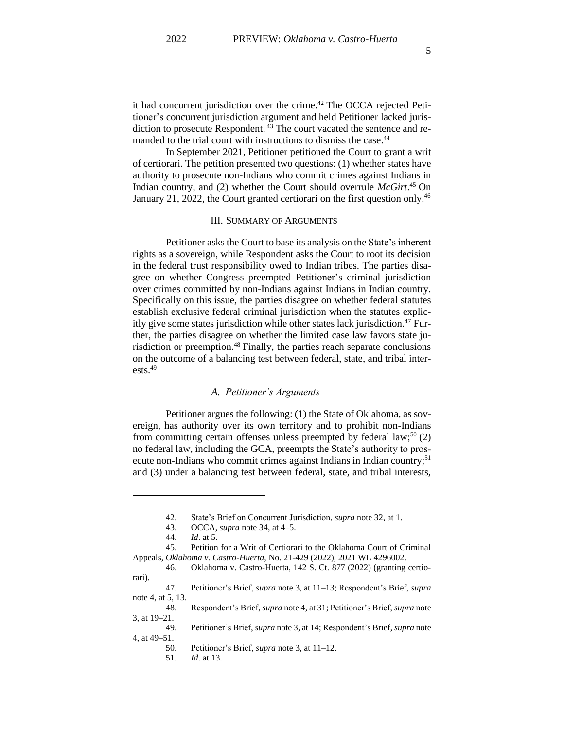it had concurrent jurisdiction over the crime. <sup>42</sup> The OCCA rejected Petitioner's concurrent jurisdiction argument and held Petitioner lacked jurisdiction to prosecute Respondent.<sup>43</sup> The court vacated the sentence and remanded to the trial court with instructions to dismiss the case.<sup>44</sup>

In September 2021, Petitioner petitioned the Court to grant a writ of certiorari. The petition presented two questions: (1) whether states have authority to prosecute non-Indians who commit crimes against Indians in Indian country, and (2) whether the Court should overrule *McGirt*. <sup>45</sup> On January 21, 2022, the Court granted certiorari on the first question only.<sup>46</sup>

#### III. SUMMARY OF ARGUMENTS

Petitioner asks the Court to base its analysis on the State's inherent rights as a sovereign, while Respondent asks the Court to root its decision in the federal trust responsibility owed to Indian tribes. The parties disagree on whether Congress preempted Petitioner's criminal jurisdiction over crimes committed by non-Indians against Indians in Indian country. Specifically on this issue, the parties disagree on whether federal statutes establish exclusive federal criminal jurisdiction when the statutes explicitly give some states jurisdiction while other states lack jurisdiction.<sup>47</sup> Further, the parties disagree on whether the limited case law favors state jurisdiction or preemption. <sup>48</sup> Finally, the parties reach separate conclusions on the outcome of a balancing test between federal, state, and tribal interests. 49

## *A. Petitioner's Arguments*

Petitioner argues the following: (1) the State of Oklahoma, as sovereign, has authority over its own territory and to prohibit non-Indians from committing certain offenses unless preempted by federal  $law$ ;<sup>50</sup> $(2)$ no federal law, including the GCA, preempts the State's authority to prosecute non-Indians who commit crimes against Indians in Indian country;<sup>51</sup> and (3) under a balancing test between federal, state, and tribal interests,

<sup>42.</sup> State's Brief on Concurrent Jurisdiction, *supra* note 32, at 1.

<sup>43.</sup> OCCA, *supra* note 34, at 4–5.

<sup>44.</sup> *Id*. at 5.

<sup>45.</sup> Petition for a Writ of Certiorari to the Oklahoma Court of Criminal Appeals, *Oklahoma v. Castro-Huerta,* No. 21-429 (2022), 2021 WL 4296002.

<sup>46.</sup> Oklahoma v. Castro-Huerta, 142 S. Ct. 877 (2022) (granting certiorari).

<sup>47.</sup> Petitioner's Brief, *supra* note 3, at 11–13; Respondent's Brief, *supra* note 4, at 5, 13.

<sup>48.</sup> Respondent's Brief, *supra* note 4, at 31; Petitioner's Brief, *supra* note 3, at 19–21.

<sup>49.</sup> Petitioner's Brief, *supra* note 3, at 14; Respondent's Brief, *supra* note 4, at 49–51.

<sup>50.</sup> Petitioner's Brief, *supra* note 3, at 11–12.

<sup>51.</sup> *Id*. at 13.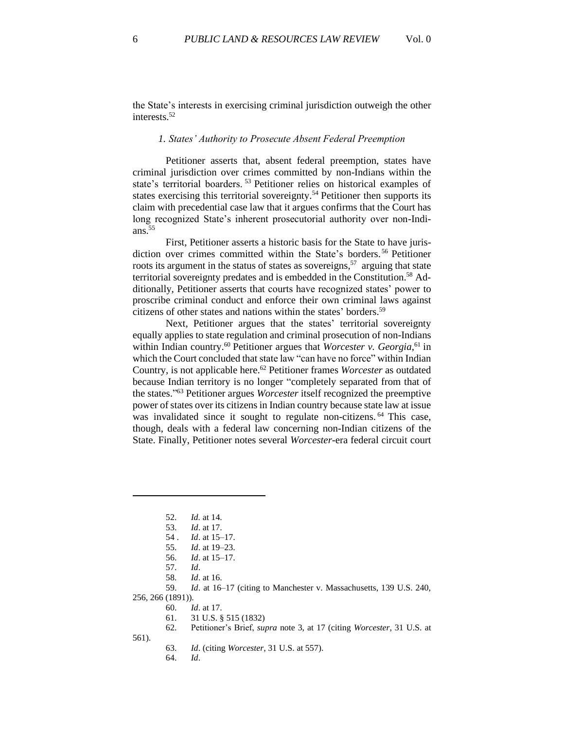the State's interests in exercising criminal jurisdiction outweigh the other interests. 52

#### *1. States' Authority to Prosecute Absent Federal Preemption*

Petitioner asserts that, absent federal preemption, states have criminal jurisdiction over crimes committed by non-Indians within the state's territorial boarders. <sup>53</sup> Petitioner relies on historical examples of states exercising this territorial sovereignty.<sup>54</sup> Petitioner then supports its claim with precedential case law that it argues confirms that the Court has long recognized State's inherent prosecutorial authority over non-Indians. $55$ 

First, Petitioner asserts a historic basis for the State to have jurisdiction over crimes committed within the State's borders. <sup>56</sup> Petitioner roots its argument in the status of states as sovereigns,<sup>57</sup> arguing that state territorial sovereignty predates and is embedded in the Constitution.<sup>58</sup> Additionally, Petitioner asserts that courts have recognized states' power to proscribe criminal conduct and enforce their own criminal laws against citizens of other states and nations within the states' borders.<sup>59</sup>

Next, Petitioner argues that the states' territorial sovereignty equally applies to state regulation and criminal prosecution of non-Indians within Indian country.<sup>60</sup> Petitioner argues that *Worcester v. Georgia*,<sup>61</sup> in which the Court concluded that state law "can have no force" within Indian Country, is not applicable here. <sup>62</sup> Petitioner frames *Worcester* as outdated because Indian territory is no longer "completely separated from that of the states." <sup>63</sup> Petitioner argues *Worcester* itself recognized the preemptive power of states over its citizens in Indian country because state law at issue was invalidated since it sought to regulate non-citizens. <sup>64</sup> This case, though, deals with a federal law concerning non-Indian citizens of the State. Finally, Petitioner notes several *Worcester-*era federal circuit court

256, 266 (1891)).

<sup>52.</sup> *Id.* at 14.

<sup>53.</sup> *Id*. at 17.

<sup>54</sup> . *Id*. at 15–17.

<sup>55.</sup> *Id*. at 19–23.

<sup>56.</sup> *Id*. at 15–17.

<sup>57.</sup> *Id*.

<sup>58.</sup> *Id*. at 16.

<sup>59.</sup> *Id*. at 16–17 (citing to Manchester v. Massachusetts, 139 U.S. 240,

<sup>60.</sup> *Id*. at 17.

<sup>61.</sup> 31 U.S. § 515 (1832)

<sup>62.</sup> Petitioner's Brief, *supra* note 3, at 17 (citing *Worcester*, 31 U.S. at

<sup>561).</sup>

<sup>63.</sup> *Id*. (citing *Worcester*, 31 U.S. at 557).

<sup>64.</sup> *Id*.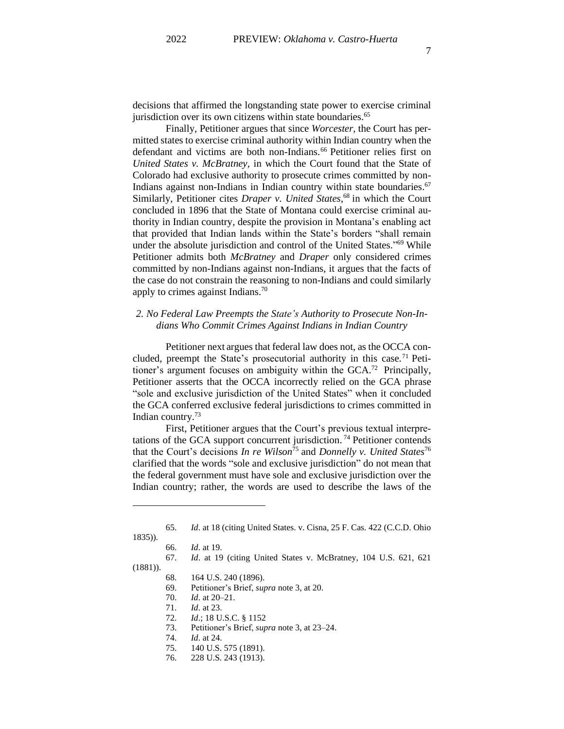decisions that affirmed the longstanding state power to exercise criminal jurisdiction over its own citizens within state boundaries.<sup>65</sup>

Finally, Petitioner argues that since *Worcester*, the Court has permitted states to exercise criminal authority within Indian country when the defendant and victims are both non-Indians. <sup>66</sup> Petitioner relies first on *United States v. McBratney*, in which the Court found that the State of Colorado had exclusive authority to prosecute crimes committed by non-Indians against non-Indians in Indian country within state boundaries. 67 Similarly, Petitioner cites *Draper v. United States*, <sup>68</sup> in which the Court concluded in 1896 that the State of Montana could exercise criminal authority in Indian country, despite the provision in Montana's enabling act that provided that Indian lands within the State's borders "shall remain under the absolute jurisdiction and control of the United States." <sup>69</sup> While Petitioner admits both *McBratney* and *Draper* only considered crimes committed by non-Indians against non-Indians, it argues that the facts of the case do not constrain the reasoning to non-Indians and could similarly apply to crimes against Indians.<sup>70</sup>

## *2. No Federal Law Preempts the State's Authority to Prosecute Non-Indians Who Commit Crimes Against Indians in Indian Country*

Petitioner next argues that federal law does not, as the OCCA concluded, preempt the State's prosecutorial authority in this case.<sup>71</sup> Petitioner's argument focuses on ambiguity within the GCA. <sup>72</sup> Principally, Petitioner asserts that the OCCA incorrectly relied on the GCA phrase "sole and exclusive jurisdiction of the United States" when it concluded the GCA conferred exclusive federal jurisdictions to crimes committed in Indian country.<sup>73</sup>

First, Petitioner argues that the Court's previous textual interpretations of the GCA support concurrent jurisdiction. <sup>74</sup> Petitioner contends that the Court's decisions *In re Wilson*<sup>75</sup> and *Donnelly v. United States*<sup>76</sup> clarified that the words "sole and exclusive jurisdiction" do not mean that the federal government must have sole and exclusive jurisdiction over the Indian country; rather, the words are used to describe the laws of the

- 67. *Id*. at 19 (citing United States v. McBratney, 104 U.S. 621, 621
- (1881)).
	- 68. 164 U.S. 240 (1896).
	- 69. Petitioner's Brief, *supra* note 3, at 20.
	- 70. *Id*. at 20–21.
	- 71. *Id*. at 23.
	- 72. *Id*.; 18 U.S.C. § 1152
	- 73. Petitioner's Brief, *supra* note 3, at 23–24.
	- 74. *Id*. at 24.
	- 75. 140 U.S. 575 (1891).
	- 76. 228 U.S. 243 (1913).

<sup>65.</sup> *Id*. at 18 (citing United States. v. Cisna, 25 F. Cas. 422 (C.C.D. Ohio

<sup>1835)).</sup>

<sup>66.</sup> *Id*. at 19.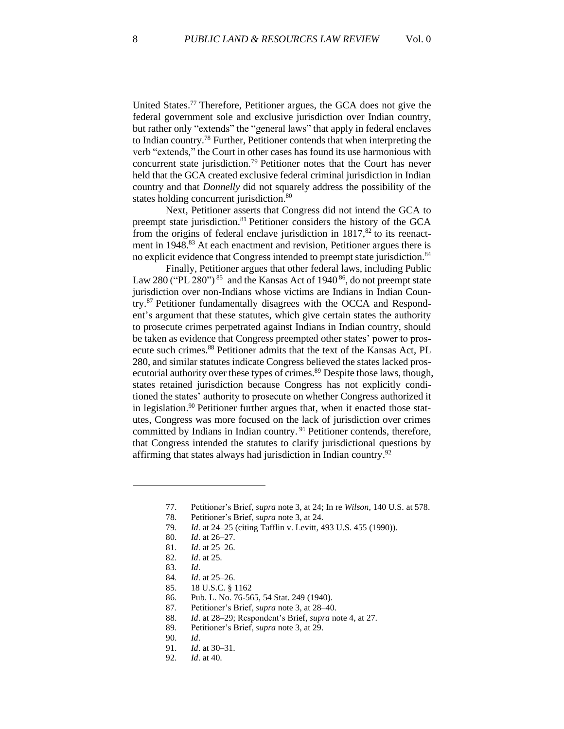United States.<sup>77</sup> Therefore, Petitioner argues, the GCA does not give the federal government sole and exclusive jurisdiction over Indian country, but rather only "extends" the "general laws" that apply in federal enclaves to Indian country.<sup>78</sup> Further, Petitioner contends that when interpreting the verb "extends," the Court in other cases has found its use harmonious with concurrent state jurisdiction.<sup>79</sup> Petitioner notes that the Court has never held that the GCA created exclusive federal criminal jurisdiction in Indian country and that *Donnelly* did not squarely address the possibility of the states holding concurrent jurisdiction.<sup>80</sup>

Next, Petitioner asserts that Congress did not intend the GCA to preempt state jurisdiction.<sup>81</sup> Petitioner considers the history of the GCA from the origins of federal enclave jurisdiction in  $1817$ ,<sup>82</sup> to its reenactment in 1948.<sup>83</sup> At each enactment and revision, Petitioner argues there is no explicit evidence that Congress intended to preempt state jurisdiction.<sup>84</sup>

Finally, Petitioner argues that other federal laws, including Public Law 280 ("PL 280")  $85$  and the Kansas Act of 1940 $86$ , do not preempt state jurisdiction over non-Indians whose victims are Indians in Indian Country.<sup>87</sup> Petitioner fundamentally disagrees with the OCCA and Respondent's argument that these statutes, which give certain states the authority to prosecute crimes perpetrated against Indians in Indian country, should be taken as evidence that Congress preempted other states' power to prosecute such crimes.<sup>88</sup> Petitioner admits that the text of the Kansas Act, PL 280, and similar statutes indicate Congress believed the states lacked prosecutorial authority over these types of crimes.<sup>89</sup> Despite those laws, though, states retained jurisdiction because Congress has not explicitly conditioned the states' authority to prosecute on whether Congress authorized it in legislation. <sup>90</sup> Petitioner further argues that, when it enacted those statutes, Congress was more focused on the lack of jurisdiction over crimes committed by Indians in Indian country.<sup>91</sup> Petitioner contends, therefore, that Congress intended the statutes to clarify jurisdictional questions by affirming that states always had jurisdiction in Indian country.<sup>92</sup>

- 87. Petitioner's Brief, *supra* note 3, at 28–40.
- 88. *Id*. at 28–29; Respondent's Brief, *supra* note 4, at 27.
- 89. Petitioner's Brief, *supra* note 3, at 29.

<sup>77.</sup> Petitioner's Brief, *supra* note 3, at 24; In re *Wilson*, 140 U.S. at 578.

<sup>78.</sup> Petitioner's Brief, *supra* note 3, at 24.

<sup>79.</sup> *Id*. at 24–25 (citing Tafflin v. Levitt, 493 U.S. 455 (1990)).

<sup>80.</sup> *Id*. at 26–27.

<sup>81.</sup> *Id*. at 25–26.

<sup>82.</sup> *Id*. at 25.

<sup>83.</sup> *Id*.

<sup>84.</sup> *Id*. at 25–26.

<sup>85.</sup> 18 U.S.C. § 1162

<sup>86.</sup> Pub. L. No. 76-565, 54 Stat. 249 (1940).

<sup>90.</sup> *Id*.

<sup>91.</sup> *Id*. at 30–31.

<sup>92.</sup> *Id*. at 40.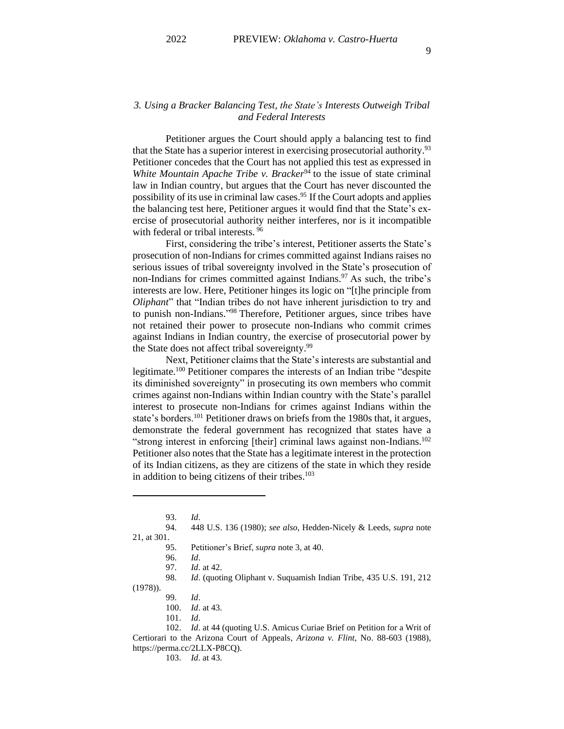## *3. Using a Bracker Balancing Test, the State's Interests Outweigh Tribal and Federal Interests*

Petitioner argues the Court should apply a balancing test to find that the State has a superior interest in exercising prosecutorial authority.<sup>93</sup> Petitioner concedes that the Court has not applied this test as expressed in *White Mountain Apache Tribe v. Bracker*<sup>94</sup> to the issue of state criminal law in Indian country, but argues that the Court has never discounted the possibility of its use in criminal law cases. <sup>95</sup> If the Court adopts and applies the balancing test here, Petitioner argues it would find that the State's exercise of prosecutorial authority neither interferes, nor is it incompatible with federal or tribal interests.<sup>96</sup>

First, considering the tribe's interest, Petitioner asserts the State's prosecution of non-Indians for crimes committed against Indians raises no serious issues of tribal sovereignty involved in the State's prosecution of non-Indians for crimes committed against Indians. $97$  As such, the tribe's interests are low. Here, Petitioner hinges its logic on "[t]he principle from *Oliphant*" that "Indian tribes do not have inherent jurisdiction to try and to punish non-Indians." <sup>98</sup> Therefore, Petitioner argues, since tribes have not retained their power to prosecute non-Indians who commit crimes against Indians in Indian country, the exercise of prosecutorial power by the State does not affect tribal sovereignty.<sup>99</sup>

Next, Petitioner claims that the State's interests are substantial and legitimate.<sup>100</sup> Petitioner compares the interests of an Indian tribe "despite its diminished sovereignty" in prosecuting its own members who commit crimes against non-Indians within Indian country with the State's parallel interest to prosecute non-Indians for crimes against Indians within the state's borders.<sup>101</sup> Petitioner draws on briefs from the 1980s that, it argues, demonstrate the federal government has recognized that states have a "strong interest in enforcing [their] criminal laws against non-Indians.<sup>102</sup> Petitioner also notes that the State has a legitimate interest in the protection of its Indian citizens, as they are citizens of the state in which they reside in addition to being citizens of their tribes. 103

98. *Id*. (quoting Oliphant v. Suquamish Indian Tribe, 435 U.S. 191, 212 (1978)).

101. *Id*.

102. *Id*. at 44 (quoting U.S. Amicus Curiae Brief on Petition for a Writ of Certiorari to the Arizona Court of Appeals, *Arizona v. Flint*, No. 88-603 (1988), https://perma.cc/2LLX-P8CQ).

103. *Id*. at 43.

<sup>93.</sup> *Id*.

<sup>94.</sup> 448 U.S. 136 (1980); *see also*, Hedden-Nicely & Leeds, *supra* note 21, at 301.

<sup>95.</sup> Petitioner's Brief, *supra* note 3, at 40.

<sup>96.</sup> *Id*. *Id.* at 42.

<sup>99.</sup> *Id*.

<sup>100.</sup> *Id*. at 43.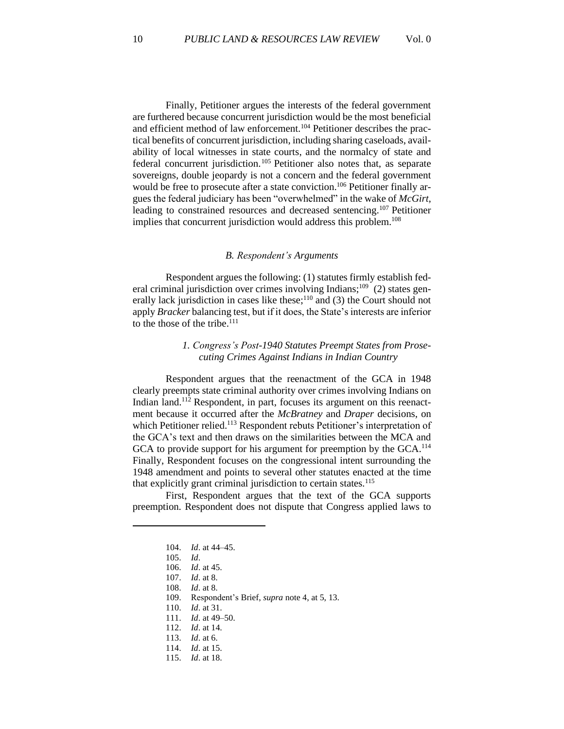Finally, Petitioner argues the interests of the federal government are furthered because concurrent jurisdiction would be the most beneficial and efficient method of law enforcement.<sup>104</sup> Petitioner describes the practical benefits of concurrent jurisdiction, including sharing caseloads, availability of local witnesses in state courts, and the normalcy of state and federal concurrent jurisdiction.<sup>105</sup> Petitioner also notes that, as separate sovereigns, double jeopardy is not a concern and the federal government would be free to prosecute after a state conviction. <sup>106</sup> Petitioner finally argues the federal judiciary has been "overwhelmed" in the wake of *McGirt*, leading to constrained resources and decreased sentencing. <sup>107</sup> Petitioner implies that concurrent jurisdiction would address this problem. 108

#### *B. Respondent's Arguments*

Respondent argues the following: (1) statutes firmly establish federal criminal jurisdiction over crimes involving Indians;<sup>109</sup> (2) states generally lack jurisdiction in cases like these; $^{110}$  and (3) the Court should not apply *Bracker* balancing test, but if it does, the State's interests are inferior to the those of the tribe.<sup>111</sup>

## *1. Congress's Post-1940 Statutes Preempt States from Prosecuting Crimes Against Indians in Indian Country*

Respondent argues that the reenactment of the GCA in 1948 clearly preempts state criminal authority over crimes involving Indians on Indian land.<sup>112</sup> Respondent, in part, focuses its argument on this reenactment because it occurred after the *McBratney* and *Draper* decisions, on which Petitioner relied.<sup>113</sup> Respondent rebuts Petitioner's interpretation of the GCA's text and then draws on the similarities between the MCA and GCA to provide support for his argument for preemption by the GCA.<sup>114</sup> Finally, Respondent focuses on the congressional intent surrounding the 1948 amendment and points to several other statutes enacted at the time that explicitly grant criminal jurisdiction to certain states.<sup>115</sup>

First, Respondent argues that the text of the GCA supports preemption. Respondent does not dispute that Congress applied laws to

- 110. *Id*. at 31.
- 111. *Id*. at 49–50.
- 112. *Id*. at 14.
- 113. *Id*. at 6.
- 114. *Id*. at 15.
- 115. *Id*. at 18.

<sup>104.</sup> *Id*. at 44–45.

<sup>105.</sup> *Id*.

<sup>106.</sup> *Id*. at 45.

<sup>107.</sup> *Id*. at 8.

<sup>108.</sup> *Id*. at 8.

<sup>109.</sup> Respondent's Brief, *supra* note 4, at 5, 13.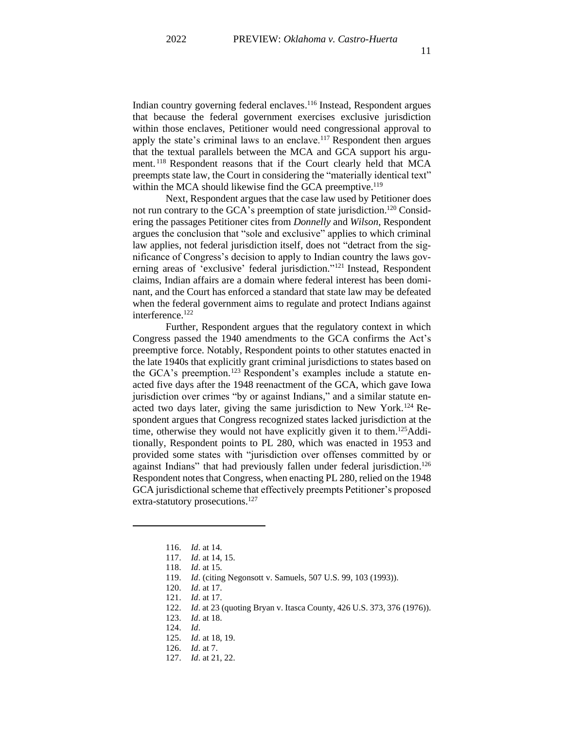Indian country governing federal enclaves. <sup>116</sup> Instead, Respondent argues that because the federal government exercises exclusive jurisdiction within those enclaves, Petitioner would need congressional approval to apply the state's criminal laws to an enclave.<sup>117</sup> Respondent then argues that the textual parallels between the MCA and GCA support his argument. <sup>118</sup> Respondent reasons that if the Court clearly held that MCA preempts state law, the Court in considering the "materially identical text" within the MCA should likewise find the GCA preemptive.<sup>119</sup>

Next, Respondent argues that the case law used by Petitioner does not run contrary to the GCA's preemption of state jurisdiction.<sup>120</sup> Considering the passages Petitioner cites from *Donnelly* and *Wilson*, Respondent argues the conclusion that "sole and exclusive" applies to which criminal law applies, not federal jurisdiction itself, does not "detract from the significance of Congress's decision to apply to Indian country the laws governing areas of 'exclusive' federal jurisdiction."<sup>121</sup> Instead, Respondent claims, Indian affairs are a domain where federal interest has been dominant, and the Court has enforced a standard that state law may be defeated when the federal government aims to regulate and protect Indians against interference.<sup>122</sup>

Further, Respondent argues that the regulatory context in which Congress passed the 1940 amendments to the GCA confirms the Act's preemptive force. Notably, Respondent points to other statutes enacted in the late 1940s that explicitly grant criminal jurisdictions to states based on the GCA's preemption.<sup>123</sup> Respondent's examples include a statute enacted five days after the 1948 reenactment of the GCA, which gave Iowa jurisdiction over crimes "by or against Indians," and a similar statute enacted two days later, giving the same jurisdiction to New York.<sup>124</sup> Respondent argues that Congress recognized states lacked jurisdiction at the time, otherwise they would not have explicitly given it to them.<sup>125</sup>Additionally, Respondent points to PL 280, which was enacted in 1953 and provided some states with "jurisdiction over offenses committed by or against Indians" that had previously fallen under federal jurisdiction.<sup>126</sup> Respondent notes that Congress, when enacting PL 280, relied on the 1948 GCA jurisdictional scheme that effectively preempts Petitioner's proposed extra-statutory prosecutions.<sup>127</sup>

<sup>116.</sup> *Id*. at 14.

<sup>117.</sup> *Id*. at 14, 15.

<sup>118.</sup> *Id*. at 15.

<sup>119.</sup> *Id*. (citing Negonsott v. Samuels, 507 U.S. 99, 103 (1993)).

<sup>120.</sup> *Id*. at 17.

<sup>121.</sup> *Id*. at 17.

<sup>122.</sup> *Id*. at 23 (quoting Bryan v. Itasca County, 426 U.S. 373, 376 (1976)).

<sup>123.</sup> *Id*. at 18.

<sup>124.</sup> *Id*.

<sup>125.</sup> *Id*. at 18, 19.

<sup>126.</sup> *Id*. at 7.

<sup>127.</sup> *Id*. at 21, 22.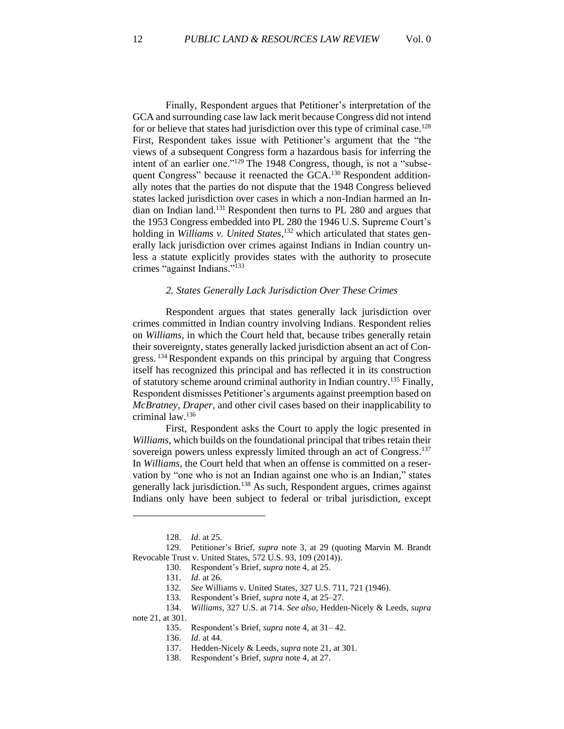Finally, Respondent argues that Petitioner's interpretation of the GCA and surrounding case law lack merit because Congress did not intend for or believe that states had jurisdiction over this type of criminal case.<sup>128</sup> First, Respondent takes issue with Petitioner's argument that the "the views of a subsequent Congress form a hazardous basis for inferring the intent of an earlier one."<sup>129</sup> The 1948 Congress, though, is not a "subsequent Congress" because it reenacted the GCA.<sup>130</sup> Respondent additionally notes that the parties do not dispute that the 1948 Congress believed states lacked jurisdiction over cases in which a non-Indian harmed an Indian on Indian land. <sup>131</sup> Respondent then turns to PL 280 and argues that the 1953 Congress embedded into PL 280 the 1946 U.S. Supreme Court's holding in *Williams v. United States*, <sup>132</sup> which articulated that states generally lack jurisdiction over crimes against Indians in Indian country unless a statute explicitly provides states with the authority to prosecute crimes "against Indians." 133

#### *2. States Generally Lack Jurisdiction Over These Crimes*

Respondent argues that states generally lack jurisdiction over crimes committed in Indian country involving Indians. Respondent relies on *Williams*, in which the Court held that, because tribes generally retain their sovereignty, states generally lacked jurisdiction absent an act of Congress.<sup>134</sup> Respondent expands on this principal by arguing that Congress itself has recognized this principal and has reflected it in its construction of statutory scheme around criminal authority in Indian country.<sup>135</sup> Finally, Respondent dismisses Petitioner's arguments against preemption based on *McBratney*, *Draper*, and other civil cases based on their inapplicability to criminal law. 136

First, Respondent asks the Court to apply the logic presented in *Williams*, which builds on the foundational principal that tribes retain their sovereign powers unless expressly limited through an act of Congress.<sup>137</sup> In *Williams*, the Court held that when an offense is committed on a reservation by "one who is not an Indian against one who is an Indian," states generally lack jurisdiction.<sup>138</sup> As such, Respondent argues, crimes against Indians only have been subject to federal or tribal jurisdiction, except

137. Hedden-Nicely & Leeds, *supra* note 21, at 301.

<sup>128.</sup> *Id*. at 25.

<sup>129.</sup> Petitioner's Brief, *supra* note 3, at 29 (quoting Marvin M. Brandt Revocable Trust v. United States, 572 U.S. 93, 109 (2014)).

<sup>130.</sup> Respondent's Brief, *supra* note 4, at 25.

<sup>131.</sup> *Id*. at 26.

<sup>132.</sup> *See* Williams v. United States, 327 U.S. 711, 721 (1946).

<sup>133.</sup> Respondent's Brief, *supra* note 4, at 25–27.

<sup>134.</sup> *Williams*, 327 U.S. at 714. *See also*, Hedden-Nicely & Leeds, *supra* note 21, at 301.

<sup>135.</sup> Respondent's Brief, *supra* note 4, at 31– 42.

<sup>136.</sup> *Id*. at 44.

<sup>138.</sup> Respondent's Brief, *supra* note 4, at 27.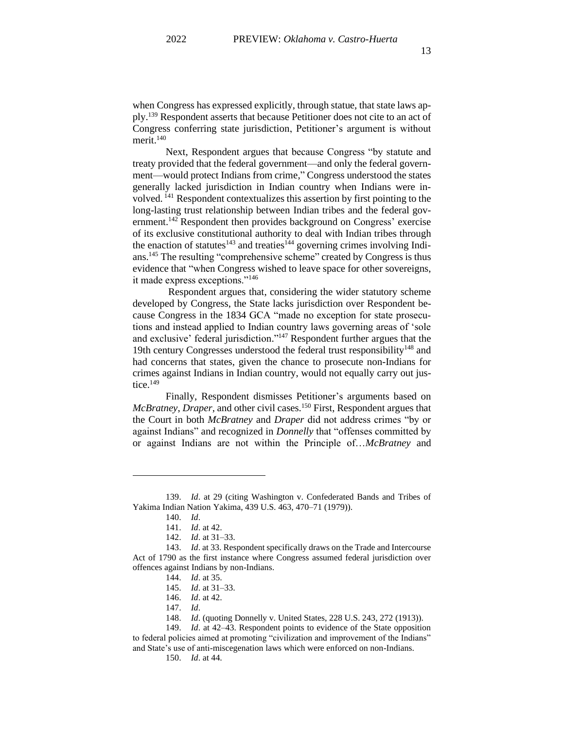when Congress has expressed explicitly, through statue, that state laws apply.<sup>139</sup> Respondent asserts that because Petitioner does not cite to an act of Congress conferring state jurisdiction, Petitioner's argument is without merit. 140

Next, Respondent argues that because Congress "by statute and treaty provided that the federal government—and only the federal government—would protect Indians from crime," Congress understood the states generally lacked jurisdiction in Indian country when Indians were involved. <sup>141</sup> Respondent contextualizes this assertion by first pointing to the long-lasting trust relationship between Indian tribes and the federal government.<sup>142</sup> Respondent then provides background on Congress' exercise of its exclusive constitutional authority to deal with Indian tribes through the enaction of statutes<sup>143</sup> and treaties<sup>144</sup> governing crimes involving Indians.<sup>145</sup> The resulting "comprehensive scheme" created by Congress is thus evidence that "when Congress wished to leave space for other sovereigns, it made express exceptions."<sup>146</sup>

Respondent argues that, considering the wider statutory scheme developed by Congress, the State lacks jurisdiction over Respondent because Congress in the 1834 GCA "made no exception for state prosecutions and instead applied to Indian country laws governing areas of 'sole and exclusive' federal jurisdiction."<sup>147</sup> Respondent further argues that the 19th century Congresses understood the federal trust responsibility<sup>148</sup> and had concerns that states, given the chance to prosecute non-Indians for crimes against Indians in Indian country, would not equally carry out justice. 149

Finally, Respondent dismisses Petitioner's arguments based on *McBratney*, *Draper*, and other civil cases.<sup>150</sup> First, Respondent argues that the Court in both *McBratney* and *Draper* did not address crimes "by or against Indians" and recognized in *Donnelly* that "offenses committed by or against Indians are not within the Principle of…*McBratney* and

<sup>139.</sup> *Id*. at 29 (citing Washington v. Confederated Bands and Tribes of Yakima Indian Nation Yakima, 439 U.S. 463, 470–71 (1979)).

<sup>140.</sup> *Id*.

<sup>141.</sup> *Id*. at 42.

<sup>142.</sup> *Id*. at 31–33.

<sup>143.</sup> *Id*. at 33. Respondent specifically draws on the Trade and Intercourse Act of 1790 as the first instance where Congress assumed federal jurisdiction over offences against Indians by non-Indians.

<sup>144.</sup> *Id*. at 35.

<sup>145.</sup> *Id*. at 31–33.

<sup>146.</sup> *Id*. at 42.

<sup>147.</sup> *Id*.

<sup>148.</sup> *Id*. (quoting Donnelly v. United States, 228 U.S. 243, 272 (1913)).

<sup>149.</sup> *Id*. at 42–43. Respondent points to evidence of the State opposition to federal policies aimed at promoting "civilization and improvement of the Indians" and State's use of anti-miscegenation laws which were enforced on non-Indians.

<sup>150.</sup> *Id*. at 44.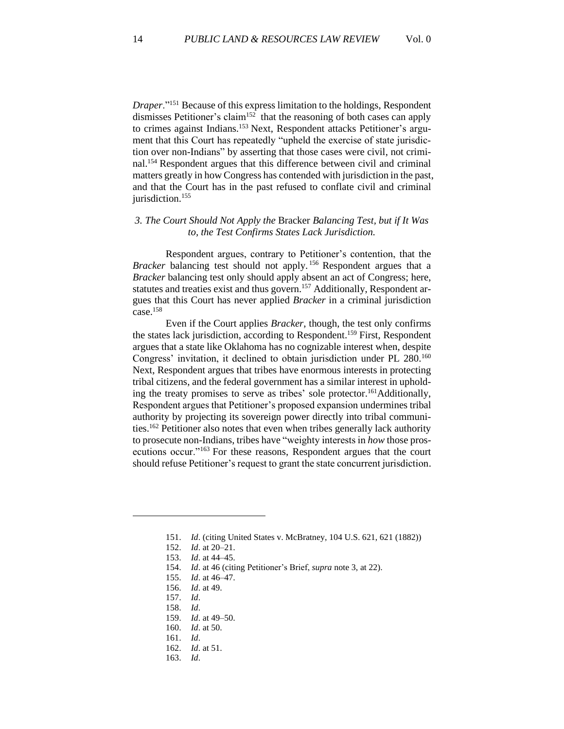*Draper*."<sup>151</sup> Because of this express limitation to the holdings, Respondent dismisses Petitioner's claim<sup>152</sup> that the reasoning of both cases can apply to crimes against Indians.<sup>153</sup> Next, Respondent attacks Petitioner's argument that this Court has repeatedly "upheld the exercise of state jurisdiction over non-Indians" by asserting that those cases were civil, not criminal.<sup>154</sup> Respondent argues that this difference between civil and criminal matters greatly in how Congress has contended with jurisdiction in the past, and that the Court has in the past refused to conflate civil and criminal jurisdiction.<sup>155</sup>

## *3. The Court Should Not Apply the* Bracker *Balancing Test, but if It Was to, the Test Confirms States Lack Jurisdiction.*

Respondent argues, contrary to Petitioner's contention, that the *Bracker* balancing test should not apply.<sup>156</sup> Respondent argues that a *Bracker* balancing test only should apply absent an act of Congress; here, statutes and treaties exist and thus govern.<sup>157</sup> Additionally, Respondent argues that this Court has never applied *Bracker* in a criminal jurisdiction case.<sup>158</sup>

Even if the Court applies *Bracker*, though, the test only confirms the states lack jurisdiction, according to Respondent.<sup>159</sup> First, Respondent argues that a state like Oklahoma has no cognizable interest when, despite Congress' invitation, it declined to obtain jurisdiction under PL 280.<sup>160</sup> Next, Respondent argues that tribes have enormous interests in protecting tribal citizens, and the federal government has a similar interest in upholding the treaty promises to serve as tribes' sole protector.<sup>161</sup>Additionally, Respondent argues that Petitioner's proposed expansion undermines tribal authority by projecting its sovereign power directly into tribal communities. <sup>162</sup> Petitioner also notes that even when tribes generally lack authority to prosecute non-Indians, tribes have "weighty interests in *how* those prosecutions occur."<sup>163</sup> For these reasons, Respondent argues that the court should refuse Petitioner's request to grant the state concurrent jurisdiction.

- 157. *Id*.
- 158. *Id*.
- 159. *Id*. at 49–50.
- 160. *Id*. at 50.
- 161. *Id*.
- 162. *Id*. at 51.
- 163. *Id*.

<sup>151.</sup> *Id*. (citing United States v. McBratney, 104 U.S. 621, 621 (1882))

<sup>152.</sup> *Id*. at 20–21.

<sup>153.</sup> *Id*. at 44–45.

<sup>154.</sup> *Id*. at 46 (citing Petitioner's Brief, *supra* note 3, at 22).

<sup>155.</sup> *Id*. at 46–47.

<sup>156.</sup> *Id*. at 49.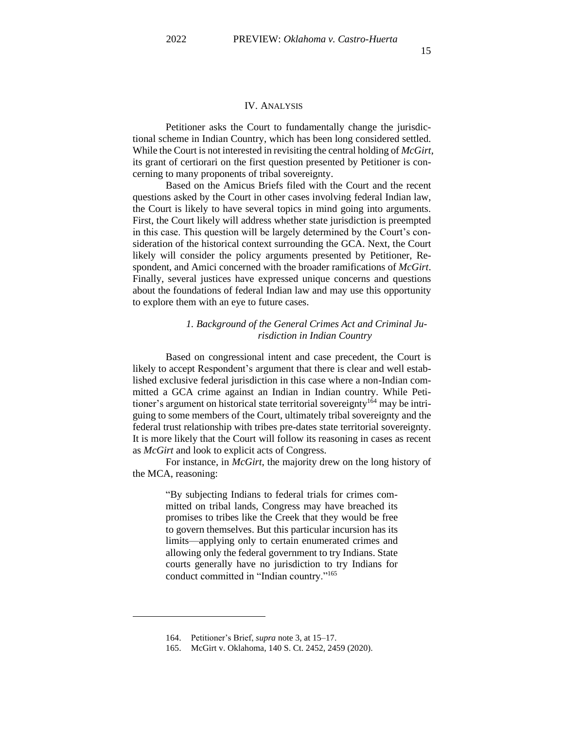## IV. ANALYSIS

Petitioner asks the Court to fundamentally change the jurisdictional scheme in Indian Country, which has been long considered settled. While the Court is not interested in revisiting the central holding of *McGirt*, its grant of certiorari on the first question presented by Petitioner is concerning to many proponents of tribal sovereignty.

Based on the Amicus Briefs filed with the Court and the recent questions asked by the Court in other cases involving federal Indian law, the Court is likely to have several topics in mind going into arguments. First, the Court likely will address whether state jurisdiction is preempted in this case. This question will be largely determined by the Court's consideration of the historical context surrounding the GCA. Next, the Court likely will consider the policy arguments presented by Petitioner, Respondent, and Amici concerned with the broader ramifications of *McGirt*. Finally, several justices have expressed unique concerns and questions about the foundations of federal Indian law and may use this opportunity to explore them with an eye to future cases.

## *1. Background of the General Crimes Act and Criminal Jurisdiction in Indian Country*

Based on congressional intent and case precedent, the Court is likely to accept Respondent's argument that there is clear and well established exclusive federal jurisdiction in this case where a non-Indian committed a GCA crime against an Indian in Indian country. While Petitioner's argument on historical state territorial sovereignty<sup>164</sup> may be intriguing to some members of the Court, ultimately tribal sovereignty and the federal trust relationship with tribes pre-dates state territorial sovereignty. It is more likely that the Court will follow its reasoning in cases as recent as *McGirt* and look to explicit acts of Congress.

For instance, in *McGirt*, the majority drew on the long history of the MCA, reasoning:

> "By subjecting Indians to federal trials for crimes committed on tribal lands, Congress may have breached its promises to tribes like the Creek that they would be free to govern themselves. But this particular incursion has its limits—applying only to certain enumerated crimes and allowing only the federal government to try Indians. State courts generally have no jurisdiction to try Indians for conduct committed in "Indian country."<sup>165</sup>

<sup>164.</sup> Petitioner's Brief, *supra* note 3, at 15–17.

<sup>165.</sup> McGirt v. Oklahoma, 140 S. Ct. 2452, 2459 (2020).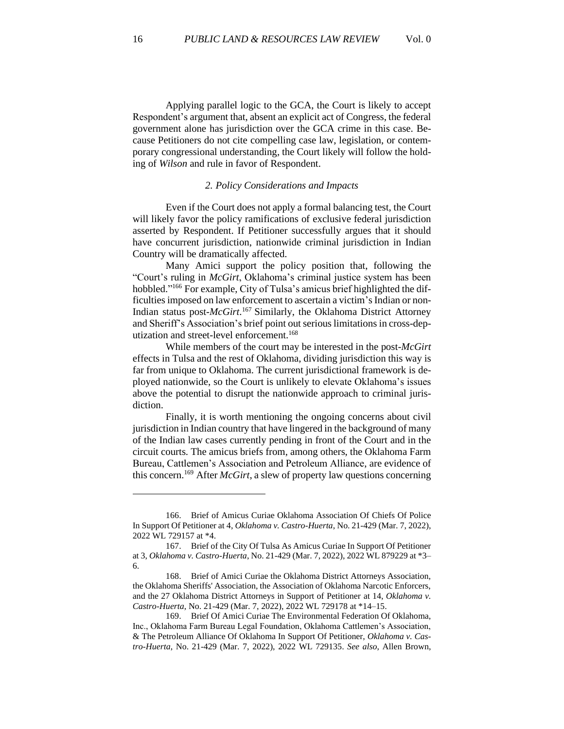Applying parallel logic to the GCA, the Court is likely to accept Respondent's argument that, absent an explicit act of Congress, the federal government alone has jurisdiction over the GCA crime in this case. Because Petitioners do not cite compelling case law, legislation, or contemporary congressional understanding, the Court likely will follow the holding of *Wilson* and rule in favor of Respondent.

#### *2. Policy Considerations and Impacts*

Even if the Court does not apply a formal balancing test, the Court will likely favor the policy ramifications of exclusive federal jurisdiction asserted by Respondent. If Petitioner successfully argues that it should have concurrent jurisdiction, nationwide criminal jurisdiction in Indian Country will be dramatically affected.

Many Amici support the policy position that, following the "Court's ruling in *McGirt*, Oklahoma's criminal justice system has been hobbled." <sup>166</sup> For example, City of Tulsa's amicus brief highlighted the difficulties imposed on law enforcement to ascertain a victim's Indian or non-Indian status post-*McGirt*. <sup>167</sup> Similarly, the Oklahoma District Attorney and Sheriff's Association's brief point out serious limitations in cross-deputization and street-level enforcement.<sup>168</sup>

While members of the court may be interested in the post-*McGirt*  effects in Tulsa and the rest of Oklahoma, dividing jurisdiction this way is far from unique to Oklahoma. The current jurisdictional framework is deployed nationwide, so the Court is unlikely to elevate Oklahoma's issues above the potential to disrupt the nationwide approach to criminal jurisdiction.

Finally, it is worth mentioning the ongoing concerns about civil jurisdiction in Indian country that have lingered in the background of many of the Indian law cases currently pending in front of the Court and in the circuit courts. The amicus briefs from, among others, the Oklahoma Farm Bureau, Cattlemen's Association and Petroleum Alliance, are evidence of this concern.<sup>169</sup> After *McGirt*, a slew of property law questions concerning

<sup>166.</sup> Brief of Amicus Curiae Oklahoma Association Of Chiefs Of Police In Support Of Petitioner at 4, *Oklahoma v. Castro-Huerta*, No. 21-429 (Mar. 7, 2022), 2022 WL 729157 at \*4.

<sup>167.</sup> Brief of the City Of Tulsa As Amicus Curiae In Support Of Petitioner at 3, *Oklahoma v. Castro-Huerta*, No. 21-429 (Mar. 7, 2022), 2022 WL 879229 at \*3– 6.

<sup>168.</sup> Brief of Amici Curiae the Oklahoma District Attorneys Association, the Oklahoma Sheriffs' Association, the Association of Oklahoma Narcotic Enforcers, and the 27 Oklahoma District Attorneys in Support of Petitioner at 14, *Oklahoma v. Castro-Huerta*, No. 21-429 (Mar. 7, 2022), 2022 WL 729178 at \*14–15.

<sup>169.</sup> Brief Of Amici Curiae The Environmental Federation Of Oklahoma, Inc., Oklahoma Farm Bureau Legal Foundation, Oklahoma Cattlemen's Association, & The Petroleum Alliance Of Oklahoma In Support Of Petitioner, *Oklahoma v. Castro-Huerta*, No. 21-429 (Mar. 7, 2022), 2022 WL 729135. *See also*, Allen Brown,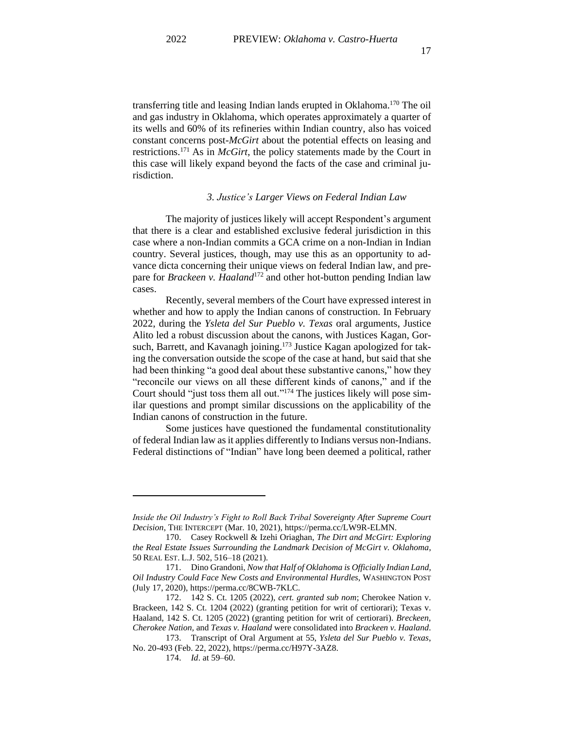transferring title and leasing Indian lands erupted in Oklahoma.<sup>170</sup> The oil and gas industry in Oklahoma, which operates approximately a quarter of its wells and 60% of its refineries within Indian country, also has voiced constant concerns post-*McGirt* about the potential effects on leasing and restrictions.<sup>171</sup> As in *McGirt*, the policy statements made by the Court in this case will likely expand beyond the facts of the case and criminal jurisdiction.

## *3. Justice's Larger Views on Federal Indian Law*

The majority of justices likely will accept Respondent's argument that there is a clear and established exclusive federal jurisdiction in this case where a non-Indian commits a GCA crime on a non-Indian in Indian country. Several justices, though, may use this as an opportunity to advance dicta concerning their unique views on federal Indian law, and prepare for *Brackeen v. Haaland*<sup>172</sup> and other hot-button pending Indian law cases.

Recently, several members of the Court have expressed interest in whether and how to apply the Indian canons of construction. In February 2022, during the *Ysleta del Sur Pueblo v. Texas* oral arguments, Justice Alito led a robust discussion about the canons, with Justices Kagan, Gorsuch, Barrett, and Kavanagh joining.<sup>173</sup> Justice Kagan apologized for taking the conversation outside the scope of the case at hand, but said that she had been thinking "a good deal about these substantive canons," how they "reconcile our views on all these different kinds of canons," and if the Court should "just toss them all out."<sup>174</sup> The justices likely will pose similar questions and prompt similar discussions on the applicability of the Indian canons of construction in the future.

Some justices have questioned the fundamental constitutionality of federal Indian law as it applies differently to Indians versus non-Indians. Federal distinctions of "Indian" have long been deemed a political, rather

*Inside the Oil Industry's Fight to Roll Back Tribal Sovereignty After Supreme Court Decision*, THE INTERCEPT (Mar. 10, 2021), https://perma.cc/LW9R-ELMN.

<sup>170.</sup> Casey Rockwell & Izehi Oriaghan, *The Dirt and McGirt: Exploring the Real Estate Issues Surrounding the Landmark Decision of McGirt v. Oklahoma*, 50 REAL EST. L.J. 502, 516–18 (2021).

<sup>171.</sup> Dino Grandoni, *Now that Half of Oklahoma is Officially Indian Land, Oil Industry Could Face New Costs and Environmental Hurdles*, WASHINGTON POST (July 17, 2020), https://perma.cc/8CWB-7KLC.

<sup>172.</sup> 142 S. Ct. 1205 (2022), *cert. granted sub nom*; Cherokee Nation v. Brackeen, 142 S. Ct. 1204 (2022) (granting petition for writ of certiorari); Texas v. Haaland, 142 S. Ct. 1205 (2022) (granting petition for writ of certiorari). *Breckeen, Cherokee Nation,* and *Texas v. Haaland* were consolidated into *Brackeen v. Haaland*.

<sup>173.</sup> Transcript of Oral Argument at 55, *Ysleta del Sur Pueblo v. Texas*, No. 20-493 (Feb. 22, 2022), https://perma.cc/H97Y-3AZ8.

<sup>174.</sup> *Id*. at 59–60.